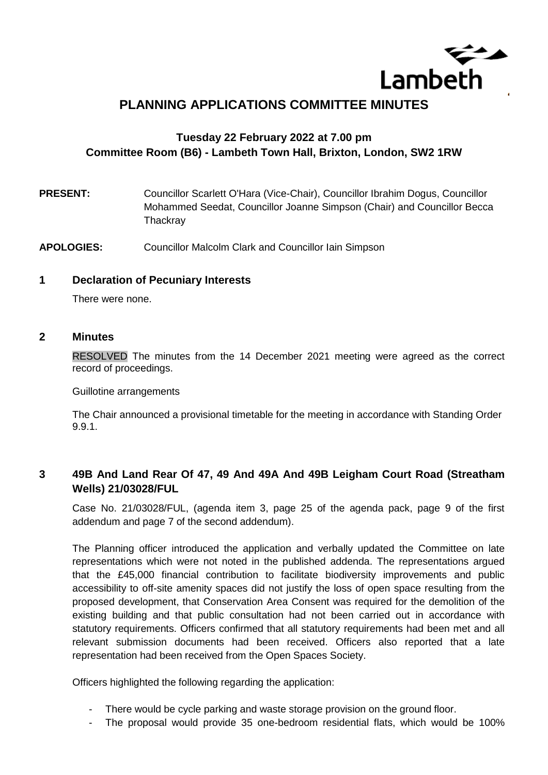

# **PLANNING APPLICATIONS COMMITTEE MINUTES**

## **Tuesday 22 February 2022 at 7.00 pm Committee Room (B6) - Lambeth Town Hall, Brixton, London, SW2 1RW**

- **PRESENT:** Councillor Scarlett O'Hara (Vice-Chair), Councillor Ibrahim Dogus, Councillor Mohammed Seedat, Councillor Joanne Simpson (Chair) and Councillor Becca **Thackrav**
- **APOLOGIES:** Councillor Malcolm Clark and Councillor Iain Simpson

#### **1 Declaration of Pecuniary Interests**

There were none.

#### **2 Minutes**

RESOLVED The minutes from the 14 December 2021 meeting were agreed as the correct record of proceedings.

Guillotine arrangements

The Chair announced a provisional timetable for the meeting in accordance with Standing Order 9.9.1.

## **3 49B And Land Rear Of 47, 49 And 49A And 49B Leigham Court Road (Streatham Wells) 21/03028/FUL**

Case No. 21/03028/FUL, (agenda item 3, page 25 of the agenda pack, page 9 of the first addendum and page 7 of the second addendum).

The Planning officer introduced the application and verbally updated the Committee on late representations which were not noted in the published addenda. The representations argued that the £45,000 financial contribution to facilitate biodiversity improvements and public accessibility to off-site amenity spaces did not justify the loss of open space resulting from the proposed development, that Conservation Area Consent was required for the demolition of the existing building and that public consultation had not been carried out in accordance with statutory requirements. Officers confirmed that all statutory requirements had been met and all relevant submission documents had been received. Officers also reported that a late representation had been received from the Open Spaces Society.

Officers highlighted the following regarding the application:

- There would be cycle parking and waste storage provision on the ground floor.
- The proposal would provide 35 one-bedroom residential flats, which would be 100%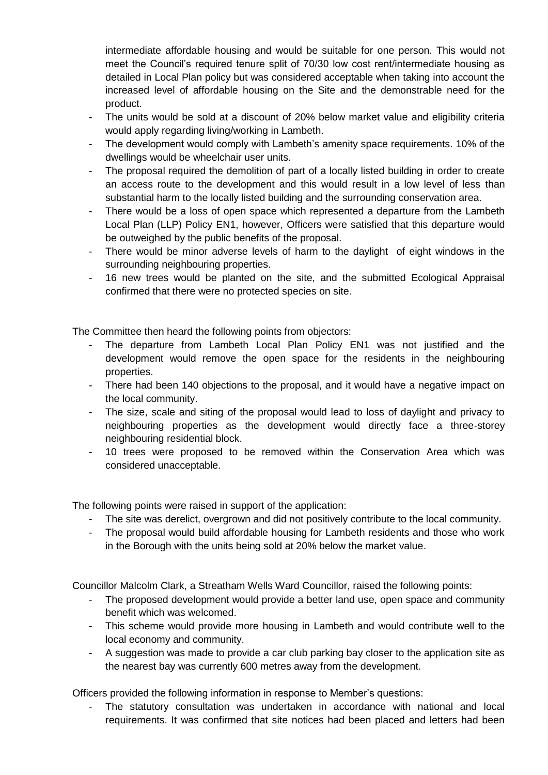intermediate affordable housing and would be suitable for one person. This would not meet the Council's required tenure split of 70/30 low cost rent/intermediate housing as detailed in Local Plan policy but was considered acceptable when taking into account the increased level of affordable housing on the Site and the demonstrable need for the product.

- The units would be sold at a discount of 20% below market value and eligibility criteria would apply regarding living/working in Lambeth.
- The development would comply with Lambeth's amenity space requirements. 10% of the dwellings would be wheelchair user units.
- The proposal required the demolition of part of a locally listed building in order to create an access route to the development and this would result in a low level of less than substantial harm to the locally listed building and the surrounding conservation area.
- There would be a loss of open space which represented a departure from the Lambeth Local Plan (LLP) Policy EN1, however, Officers were satisfied that this departure would be outweighed by the public benefits of the proposal.
- There would be minor adverse levels of harm to the daylight of eight windows in the surrounding neighbouring properties.
- 16 new trees would be planted on the site, and the submitted Ecological Appraisal confirmed that there were no protected species on site.

The Committee then heard the following points from objectors:

- The departure from Lambeth Local Plan Policy EN1 was not justified and the development would remove the open space for the residents in the neighbouring properties.
- There had been 140 objections to the proposal, and it would have a negative impact on the local community.
- The size, scale and siting of the proposal would lead to loss of daylight and privacy to neighbouring properties as the development would directly face a three-storey neighbouring residential block.
- 10 trees were proposed to be removed within the Conservation Area which was considered unacceptable.

The following points were raised in support of the application:

- The site was derelict, overgrown and did not positively contribute to the local community.
- The proposal would build affordable housing for Lambeth residents and those who work in the Borough with the units being sold at 20% below the market value.

Councillor Malcolm Clark, a Streatham Wells Ward Councillor, raised the following points:

- The proposed development would provide a better land use, open space and community benefit which was welcomed.
- This scheme would provide more housing in Lambeth and would contribute well to the local economy and community.
- A suggestion was made to provide a car club parking bay closer to the application site as the nearest bay was currently 600 metres away from the development.

Officers provided the following information in response to Member's questions:

The statutory consultation was undertaken in accordance with national and local requirements. It was confirmed that site notices had been placed and letters had been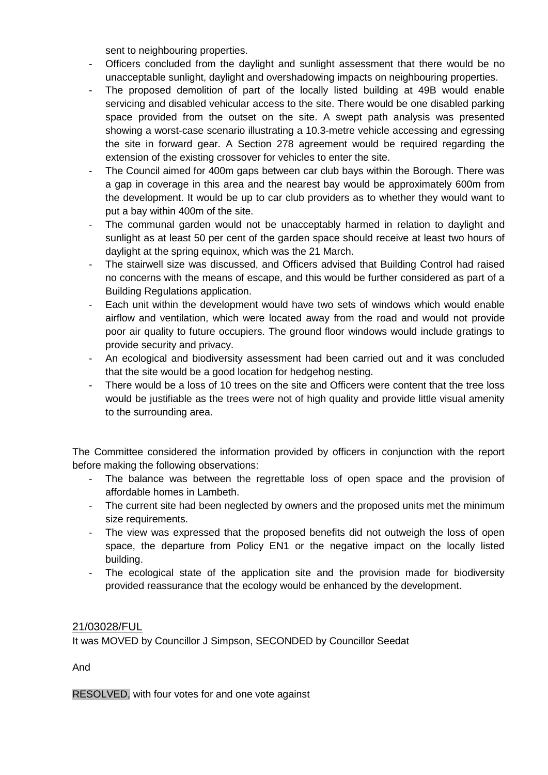sent to neighbouring properties.

- Officers concluded from the daylight and sunlight assessment that there would be no unacceptable sunlight, daylight and overshadowing impacts on neighbouring properties.
- The proposed demolition of part of the locally listed building at 49B would enable servicing and disabled vehicular access to the site. There would be one disabled parking space provided from the outset on the site. A swept path analysis was presented showing a worst-case scenario illustrating a 10.3-metre vehicle accessing and egressing the site in forward gear. A Section 278 agreement would be required regarding the extension of the existing crossover for vehicles to enter the site.
- The Council aimed for 400m gaps between car club bays within the Borough. There was a gap in coverage in this area and the nearest bay would be approximately 600m from the development. It would be up to car club providers as to whether they would want to put a bay within 400m of the site.
- The communal garden would not be unacceptably harmed in relation to daylight and sunlight as at least 50 per cent of the garden space should receive at least two hours of daylight at the spring equinox, which was the 21 March.
- The stairwell size was discussed, and Officers advised that Building Control had raised no concerns with the means of escape, and this would be further considered as part of a Building Regulations application.
- Each unit within the development would have two sets of windows which would enable airflow and ventilation, which were located away from the road and would not provide poor air quality to future occupiers. The ground floor windows would include gratings to provide security and privacy.
- An ecological and biodiversity assessment had been carried out and it was concluded that the site would be a good location for hedgehog nesting.
- There would be a loss of 10 trees on the site and Officers were content that the tree loss would be justifiable as the trees were not of high quality and provide little visual amenity to the surrounding area.

The Committee considered the information provided by officers in conjunction with the report before making the following observations:

- The balance was between the regrettable loss of open space and the provision of affordable homes in Lambeth.
- The current site had been neglected by owners and the proposed units met the minimum size requirements.
- The view was expressed that the proposed benefits did not outweigh the loss of open space, the departure from Policy EN1 or the negative impact on the locally listed building.
- The ecological state of the application site and the provision made for biodiversity provided reassurance that the ecology would be enhanced by the development.

### 21/03028/FUL

It was MOVED by Councillor J Simpson, SECONDED by Councillor Seedat

And

RESOLVED, with four votes for and one vote against